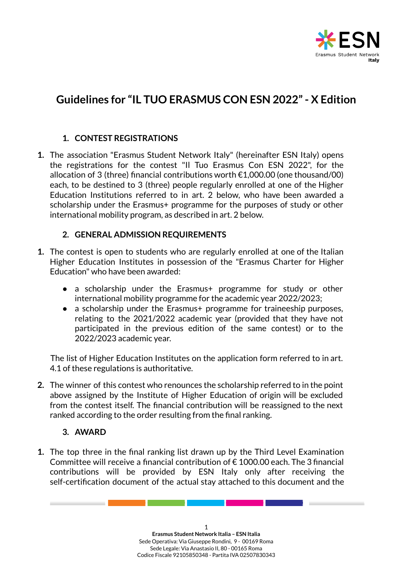

# **Guidelines for "IL TUO ERASMUS CON ESN 2022"- X Edition**

## **1. CONTEST REGISTRATIONS**

**1.** The association "Erasmus Student Network Italy" (hereinafter ESN Italy) opens the registrations for the contest "Il Tuo Erasmus Con ESN 2022", for the allocation of 3 (three) financial contributions worth €1,000.00 (one thousand/00) each, to be destined to 3 (three) people regularly enrolled at one of the Higher Education Institutions referred to in art. 2 below, who have been awarded a scholarship under the Erasmus+ programme for the purposes of study or other international mobility program, as described in art. 2 below.

#### **2. GENERAL ADMISSION REQUIREMENTS**

- **1.** The contest is open to students who are regularly enrolled at one of the Italian Higher Education Institutes in possession of the "Erasmus Charter for Higher Education" who have been awarded:
	- a scholarship under the Erasmus+ programme for study or other international mobility programme for the academic year 2022/2023;
	- a scholarship under the Erasmus+ programme for traineeship purposes, relating to the 2021/2022 academic year (provided that they have not participated in the previous edition of the same contest) or to the 2022/2023 academic year.

The list of Higher Education Institutes on the application form referred to in art. 4.1 of these regulations is authoritative.

**2.** The winner of this contest who renounces the scholarship referred to in the point above assigned by the Institute of Higher Education of origin will be excluded from the contest itself. The financial contribution will be reassigned to the next ranked according to the order resulting from the final ranking.

#### **3. AWARD**

**1.** The top three in the final ranking list drawn up by the Third Level Examination Committee will receive a financial contribution of  $\epsilon$  1000.00 each. The 3 financial contributions will be provided by ESN Italy only after receiving the self-certification document of the actual stay attached to this document and the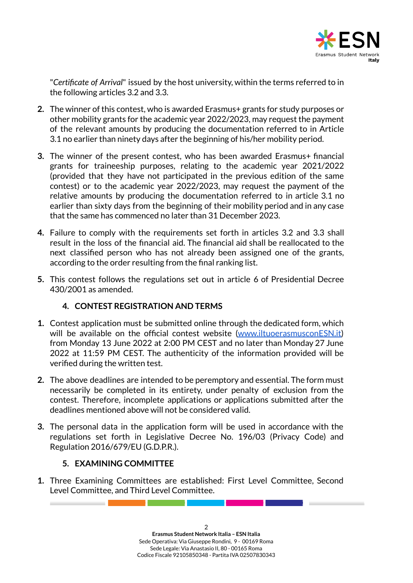

"*Certificate of Arrival*" issued by the host university, within the terms referred to in the following articles 3.2 and 3.3.

- **2.** The winner of this contest, who is awarded Erasmus+ grants for study purposes or other mobility grants for the academic year 2022/2023, may request the payment of the relevant amounts by producing the documentation referred to in Article 3.1 no earlier than ninety days after the beginning of his/her mobility period.
- **3.** The winner of the present contest, who has been awarded Erasmus+ financial grants for traineeship purposes, relating to the academic year 2021/2022 (provided that they have not participated in the previous edition of the same contest) or to the academic year 2022/2023, may request the payment of the relative amounts by producing the documentation referred to in article 3.1 no earlier than sixty days from the beginning of their mobility period and in any case that the same has commenced no later than 31 December 2023.
- **4.** Failure to comply with the requirements set forth in articles 3.2 and 3.3 shall result in the loss of the financial aid. The financial aid shall be reallocated to the next classified person who has not already been assigned one of the grants, according to the order resulting from the final ranking list.
- **5.** This contest follows the regulations set out in article 6 of Presidential Decree 430/2001 as amended.

# **4. CONTEST REGISTRATION AND TERMS**

- **1.** Contest application must be submitted online through the dedicated form, which will be available on the official contest website [\(www.iltuoerasmusconESN.it\)](http://www.iltuoerasmusconesn.it) from Monday 13 June 2022 at 2:00 PM CEST and no later than Monday 27 June 2022 at 11:59 PM CEST. The authenticity of the information provided will be verified during the written test.
- **2.** The above deadlines are intended to be peremptory and essential. The form must necessarily be completed in its entirety, under penalty of exclusion from the contest. Therefore, incomplete applications or applications submitted after the deadlines mentioned above will not be considered valid.
- **3.** The personal data in the application form will be used in accordance with the regulations set forth in Legislative Decree No. 196/03 (Privacy Code) and Regulation 2016/679/EU (G.D.P.R.).

## **5. EXAMINING COMMITTEE**

**1.** Three Examining Committees are established: First Level Committee, Second Level Committee, and Third Level Committee.

and the company of the company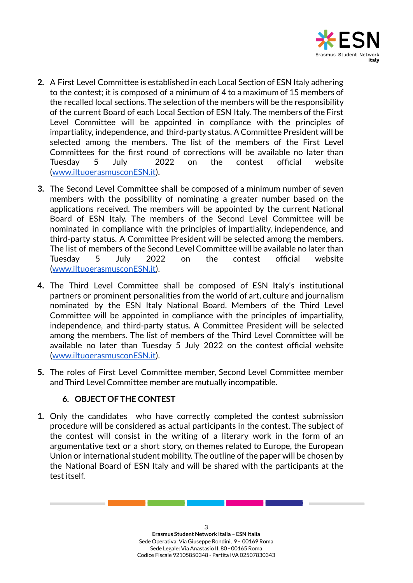

- **2.** A First Level Committee is established in each Local Section of ESN Italy adhering to the contest; it is composed of a minimum of 4 to a maximum of 15 members of the recalled local sections. The selection of the members will be the responsibility of the current Board of each Local Section of ESN Italy. The members of the First Level Committee will be appointed in compliance with the principles of impartiality, independence, and third-party status. A Committee President will be selected among the members. The list of the members of the First Level Committees for the first round of corrections will be available no later than Tuesday 5 July 2022 on the contest official website ([www.iltuoerasmusconESN.it\)](http://www.iltuoerasmusconesn.it).
- **3.** The Second Level Committee shall be composed of a minimum number of seven members with the possibility of nominating a greater number based on the applications received. The members will be appointed by the current National Board of ESN Italy. The members of the Second Level Committee will be nominated in compliance with the principles of impartiality, independence, and third-party status. A Committee President will be selected among the members. The list of members of the Second Level Committee will be available no later than Tuesday 5 July 2022 on the contest official website ([www.iltuoerasmusconESN.it\)](http://www.iltuoerasmusconesn.it).
- **4.** The Third Level Committee shall be composed of ESN Italy's institutional partners or prominent personalities from the world of art, culture and journalism nominated by the ESN Italy National Board. Members of the Third Level Committee will be appointed in compliance with the principles of impartiality, independence, and third-party status. A Committee President will be selected among the members. The list of members of the Third Level Committee will be available no later than Tuesday 5 July 2022 on the contest official website ([www.iltuoerasmusconESN.it\)](http://www.iltuoerasmusconesn.it).
- **5.** The roles of First Level Committee member, Second Level Committee member and Third Level Committee member are mutually incompatible.

## **6. OBJECT OF THE CONTEST**

**1.** Only the candidates who have correctly completed the contest submission procedure will be considered as actual participants in the contest. The subject of the contest will consist in the writing of a literary work in the form of an argumentative text or a short story, on themes related to Europe, the European Union or international student mobility. The outline of the paper will be chosen by the National Board of ESN Italy and will be shared with the participants at the test itself.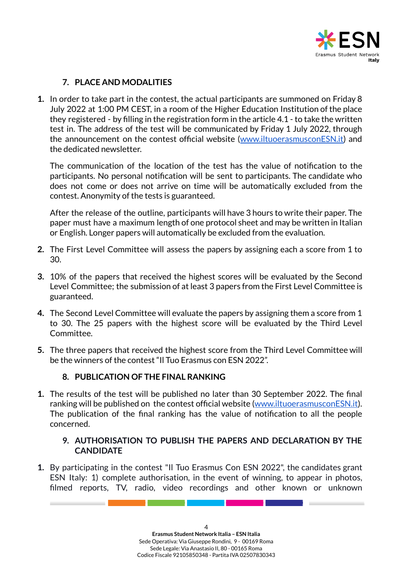

## **7. PLACE AND MODALITIES**

**1.** In order to take part in the contest, the actual participants are summoned on Friday 8 July 2022 at 1:00 PM CEST, in a room of the Higher Education Institution of the place they registered - by filling in the registration form in the article 4.1 - to take the written test in. The address of the test will be communicated by Friday 1 July 2022, through the announcement on the contest official website ([www.iltuoerasmusconESN.it\)](http://www.iltuoerasmusconesn.it) and the dedicated newsletter.

The communication of the location of the test has the value of notification to the participants. No personal notification will be sent to participants. The candidate who does not come or does not arrive on time will be automatically excluded from the contest. Anonymity of the tests is guaranteed.

After the release of the outline, participants will have 3 hours to write their paper. The paper must have a maximum length of one protocol sheet and may be written in Italian or English. Longer papers will automatically be excluded from the evaluation.

- **2.** The First Level Committee will assess the papers by assigning each a score from 1 to 30.
- **3.** 10% of the papers that received the highest scores will be evaluated by the Second Level Committee; the submission of at least 3 papers from the First Level Committee is guaranteed.
- **4.** The Second Level Committee will evaluate the papers by assigning them a score from 1 to 30. The 25 papers with the highest score will be evaluated by the Third Level Committee.
- **5.** The three papers that received the highest score from the Third Level Committee will be the winners of the contest "Il Tuo Erasmus con ESN 2022".

#### **8. PUBLICATION OF THE FINAL RANKING**

**1.** The results of the test will be published no later than 30 September 2022. The final ranking will be published on the contest official website ([www.iltuoerasmusconESN.it\)](http://www.iltuoerasmusconesn.it). The publication of the final ranking has the value of notification to all the people concerned.

#### **9. AUTHORISATION TO PUBLISH THE PAPERS AND DECLARATION BY THE CANDIDATE**

**1.** By participating in the contest "Il Tuo Erasmus Con ESN 2022", the candidates grant ESN Italy: 1) complete authorisation, in the event of winning, to appear in photos, filmed reports, TV, radio, video recordings and other known or unknown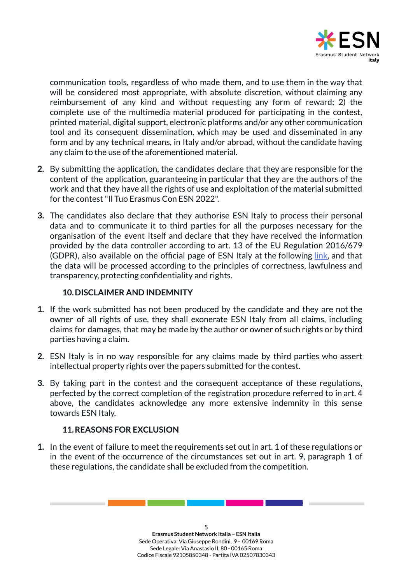

communication tools, regardless of who made them, and to use them in the way that will be considered most appropriate, with absolute discretion, without claiming any reimbursement of any kind and without requesting any form of reward; 2) the complete use of the multimedia material produced for participating in the contest, printed material, digital support, electronic platforms and/or any other communication tool and its consequent dissemination, which may be used and disseminated in any form and by any technical means, in Italy and/or abroad, without the candidate having any claim to the use of the aforementioned material.

- **2.** By submitting the application, the candidates declare that they are responsible for the content of the application, guaranteeing in particular that they are the authors of the work and that they have all the rights of use and exploitation of the material submitted for the contest"Il Tuo Erasmus Con ESN 2022".
- **3.** The candidates also declare that they authorise ESN Italy to process their personal data and to communicate it to third parties for all the purposes necessary for the organisation of the event itself and declare that they have received the information provided by the data controller according to art. 13 of the EU Regulation 2016/679 (GDPR), also available on the official page of ESN Italy at the following [link,](https://esn.it/it/gdpr-policy) and that the data will be processed according to the principles of correctness, lawfulness and transparency, protecting confidentiality and rights.

#### **10.DISCLAIMER AND INDEMNITY**

- **1.** If the work submitted has not been produced by the candidate and they are not the owner of all rights of use, they shall exonerate ESN Italy from all claims, including claims for damages, that may be made by the author or owner of such rights or by third parties having a claim.
- **2.** ESN Italy is in no way responsible for any claims made by third parties who assert intellectual property rights over the papers submitted for the contest.
- **3.** By taking part in the contest and the consequent acceptance of these regulations, perfected by the correct completion of the registration procedure referred to in art. 4 above, the candidates acknowledge any more extensive indemnity in this sense towards ESN Italy.

## **11.REASONS FOR EXCLUSION**

**1.** In the event of failure to meet the requirements set out in art. 1 of these regulations or in the event of the occurrence of the circumstances set out in art. 9, paragraph 1 of these regulations, the candidate shall be excluded from the competition.